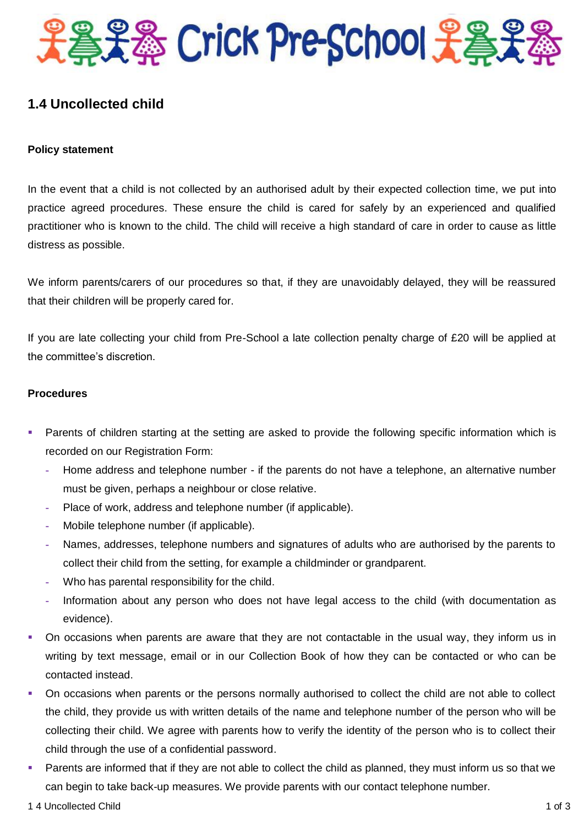

## **1.4 Uncollected child**

## **Policy statement**

In the event that a child is not collected by an authorised adult by their expected collection time, we put into practice agreed procedures. These ensure the child is cared for safely by an experienced and qualified practitioner who is known to the child. The child will receive a high standard of care in order to cause as little distress as possible.

We inform parents/carers of our procedures so that, if they are unavoidably delayed, they will be reassured that their children will be properly cared for.

If you are late collecting your child from Pre-School a late collection penalty charge of £20 will be applied at the committee's discretion.

## **Procedures**

- Parents of children starting at the setting are asked to provide the following specific information which is recorded on our Registration Form:
	- **-** Home address and telephone number if the parents do not have a telephone, an alternative number must be given, perhaps a neighbour or close relative.
	- **-** Place of work, address and telephone number (if applicable).
	- **-** Mobile telephone number (if applicable).
	- **-** Names, addresses, telephone numbers and signatures of adults who are authorised by the parents to collect their child from the setting, for example a childminder or grandparent.
	- **-** Who has parental responsibility for the child.
	- **-** Information about any person who does not have legal access to the child (with documentation as evidence).
- On occasions when parents are aware that they are not contactable in the usual way, they inform us in writing by text message, email or in our Collection Book of how they can be contacted or who can be contacted instead.
- On occasions when parents or the persons normally authorised to collect the child are not able to collect the child, they provide us with written details of the name and telephone number of the person who will be collecting their child. We agree with parents how to verify the identity of the person who is to collect their child through the use of a confidential password.
- Parents are informed that if they are not able to collect the child as planned, they must inform us so that we can begin to take back-up measures. We provide parents with our contact telephone number.
- 1 4 Uncollected Child 1 of 3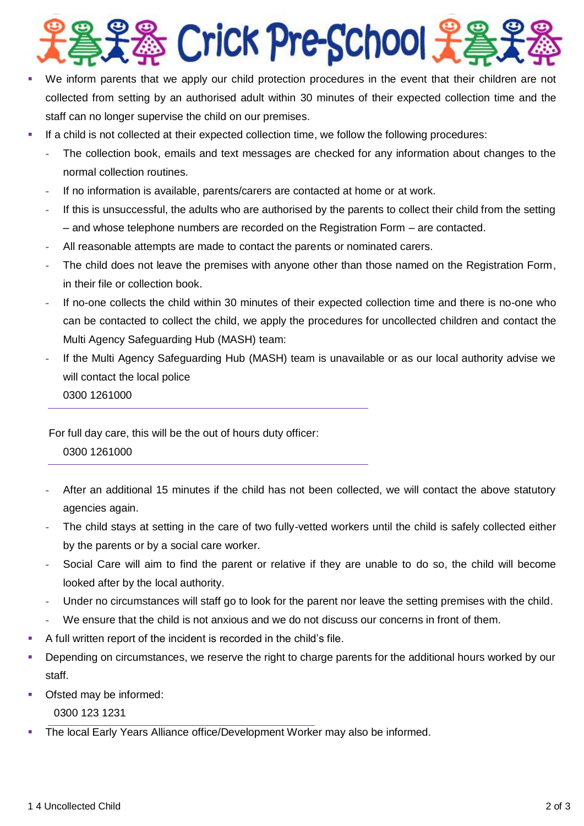

- We inform parents that we apply our child protection procedures in the event that their children are not collected from setting by an authorised adult within 30 minutes of their expected collection time and the staff can no longer supervise the child on our premises.
- If a child is not collected at their expected collection time, we follow the following procedures:
	- **-** The collection book, emails and text messages are checked for any information about changes to the normal collection routines.
	- **-** If no information is available, parents/carers are contacted at home or at work.
	- **-** If this is unsuccessful, the adults who are authorised by the parents to collect their child from the setting – and whose telephone numbers are recorded on the Registration Form – are contacted.
	- **-** All reasonable attempts are made to contact the parents or nominated carers.
	- **-** The child does not leave the premises with anyone other than those named on the Registration Form, in their file or collection book.
	- **-** If no-one collects the child within 30 minutes of their expected collection time and there is no-one who can be contacted to collect the child, we apply the procedures for uncollected children and contact the Multi Agency Safeguarding Hub (MASH) team:
	- **-** If the Multi Agency Safeguarding Hub (MASH) team is unavailable or as our local authority advise we will contact the local police
		- 0300 1261000

For full day care, this will be the out of hours duty officer:

- 0300 1261000
- **-** After an additional 15 minutes if the child has not been collected, we will contact the above statutory agencies again.
- **-** The child stays at setting in the care of two fully-vetted workers until the child is safely collected either by the parents or by a social care worker.
- **-** Social Care will aim to find the parent or relative if they are unable to do so, the child will become looked after by the local authority.
- **-** Under no circumstances will staff go to look for the parent nor leave the setting premises with the child.
- **-** We ensure that the child is not anxious and we do not discuss our concerns in front of them.
- A full written report of the incident is recorded in the child's file.
- **Depending on circumstances, we reserve the right to charge parents for the additional hours worked by our** staff.
- Ofsted may be informed:

0300 123 1231

The local Early Years Alliance office/Development Worker may also be informed.